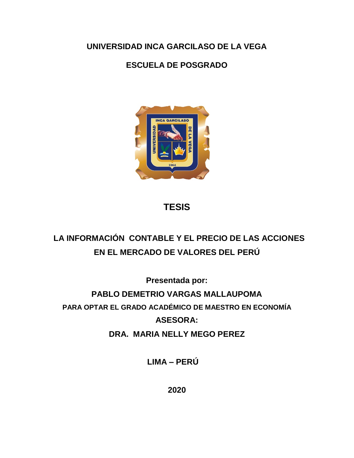**UNIVERSIDAD INCA GARCILASO DE LA VEGA**

### **ESCUELA DE POSGRADO**



## **TESIS**

# **LA INFORMACIÓN CONTABLE Y EL PRECIO DE LAS ACCIONES EN EL MERCADO DE VALORES DEL PERÚ**

**Presentada por:** 

**PABLO DEMETRIO VARGAS MALLAUPOMA PARA OPTAR EL GRADO ACADÉMICO DE MAESTRO EN ECONOMÍA ASESORA:** 

**DRA. MARIA NELLY MEGO PEREZ**

 **LIMA – PERÚ**

**2020**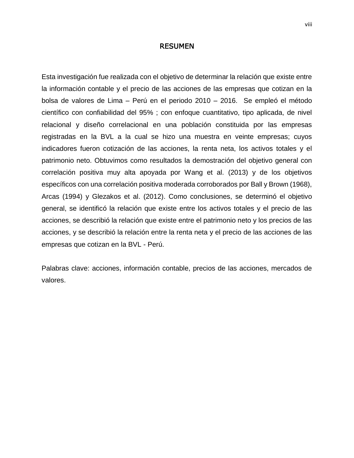#### RESUMEN

Esta investigación fue realizada con el objetivo de determinar la relación que existe entre la información contable y el precio de las acciones de las empresas que cotizan en la bolsa de valores de Lima – Perú en el periodo 2010 – 2016. Se empleó el método científico con confiabilidad del 95% ; con enfoque cuantitativo, tipo aplicada, de nivel relacional y diseño correlacional en una población constituida por las empresas registradas en la BVL a la cual se hizo una muestra en veinte empresas; cuyos indicadores fueron cotización de las acciones, la renta neta, los activos totales y el patrimonio neto. Obtuvimos como resultados la demostración del objetivo general con correlación positiva muy alta apoyada por Wang et al. (2013) y de los objetivos específicos con una correlación positiva moderada corroborados por Ball y Brown (1968), Arcas (1994) y Glezakos et al. (2012). Como conclusiones, se determinó el objetivo general, se identificó la relación que existe entre los activos totales y el precio de las acciones, se describió la relación que existe entre el patrimonio neto y los precios de las acciones, y se describió la relación entre la renta neta y el precio de las acciones de las empresas que cotizan en la BVL - Perú.

Palabras clave: acciones, información contable, precios de las acciones, mercados de valores.